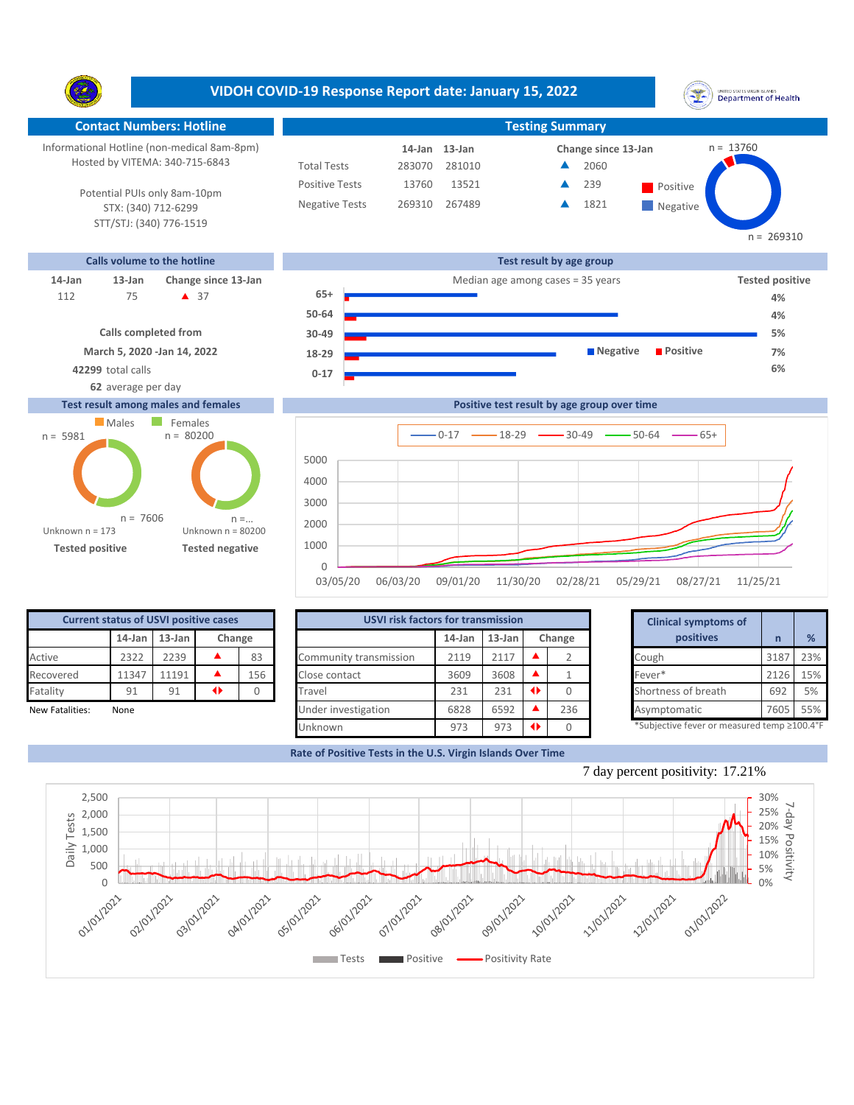**VIDOH COVID-19 Response Report date: January 15, 2022** UNITED STATES VIRGIN SLANDS<br>Department of Health Y. **Contact Numbers: Hotline Testing Summary** Informational Hotline (non-medical 8am-8pm) n = 13760 **13-Jan 14-Jan Change since 13-Jan** Hosted by VITEMA: 340-715-6843 Total Tests 283070 281010 2060 ▲ Positive Tests 13760 13521 **A** 239 **Positive** 239  $\blacktriangle$ Potential PUIs only 8am-10pm Negative Tests 269310 267489 **1821** ▲ **Negative** STX: (340) 712-6299 STT/STJ: (340) 776-1519 n = 269310 **Calls volume to the hotline Test result by age group 14-Jan 13-Jan Change since 13-Jan** Median age among cases = 35 years **Tested positive 65+** 75 **A** 37 112 **112 4 37 4** 4% **50-64 4% Calls completed from 30-49 5% March 5, 2020 -Jan 14, 2022 Negative Positive 7% 18-29 42299** total calls **6% 0-17 62** average per day **Positive test result by age group over time Test result among males and females Males** Females  $n = 80200$ n = 5981  $0-17$   $\longrightarrow$  18-29  $\longrightarrow$  30-49  $\longrightarrow$  50-64  $\longrightarrow$  65+ **Confirmed cases** 5000 4000 3000

**Tested positive Tested negative**

n = 7606

Unknown n = 80200

 $n =$ 

0 1000 2000

Unknown n = 173

| <b>Current status of USVI positive cases</b> |           |           |         |        |                        | <b>USVI risk factors for transmission</b> |        |        |                                            |  | <b>Clinical symptoms of</b> |      |     |
|----------------------------------------------|-----------|-----------|---------|--------|------------------------|-------------------------------------------|--------|--------|--------------------------------------------|--|-----------------------------|------|-----|
|                                              | $14$ -Jan | $13$ -Jan |         | Change |                        | $14$ -Jan                                 | 13-Jan | Change |                                            |  | positives                   |      | %   |
| Active                                       | 2322      | 2239      |         | 83     | Community transmission | 2119                                      | 2117   |        |                                            |  | Cough                       | 3187 | 23% |
| Recovered                                    | 11347     | 11191     |         | 156    | Close contact          | 3609                                      | 3608   |        |                                            |  | Fever*                      | 2126 | 15% |
| Fatality                                     | 91        | 91        | 41      |        | Travel                 | 231                                       | 231    |        |                                            |  | Shortness of breath         | 692  | 5%  |
| New Fatalities:                              | None      |           |         |        | Under investigation    | 6828                                      | 6592   |        | 236                                        |  | Asymptomatic                | 7605 | 55% |
|                                              |           |           | Unknown | 973    | 973                    |                                           |        |        | *Subjective fever or measured temp ≥100.4° |  |                             |      |     |

03/05/20 06/03/20 09/01/20 11/30/20 02/28/21 05/29/21 08/27/21 11/25/21

|        | for transmission |    |        | <b>Clinical symptoms of</b>                 |      |     |
|--------|------------------|----|--------|---------------------------------------------|------|-----|
| 14-Jan | $13$ -Jan        |    | Change | positives                                   | n    | %   |
| 2119   | 2117             |    |        | Cough                                       | 3187 | 23% |
| 3609   | 3608             |    |        | Fever*                                      | 2126 | 15% |
| 231    | 231              | O. |        | Shortness of breath                         | 692  | 5%  |
| 6828   | 6592             |    | 236    | Asymptomatic                                | 7605 | 55% |
| 973    | 973              | O  |        | *Subjective fever or measured temp ≥100.4°F |      |     |

**Rate of Positive Tests in the U.S. Virgin Islands Over Time**